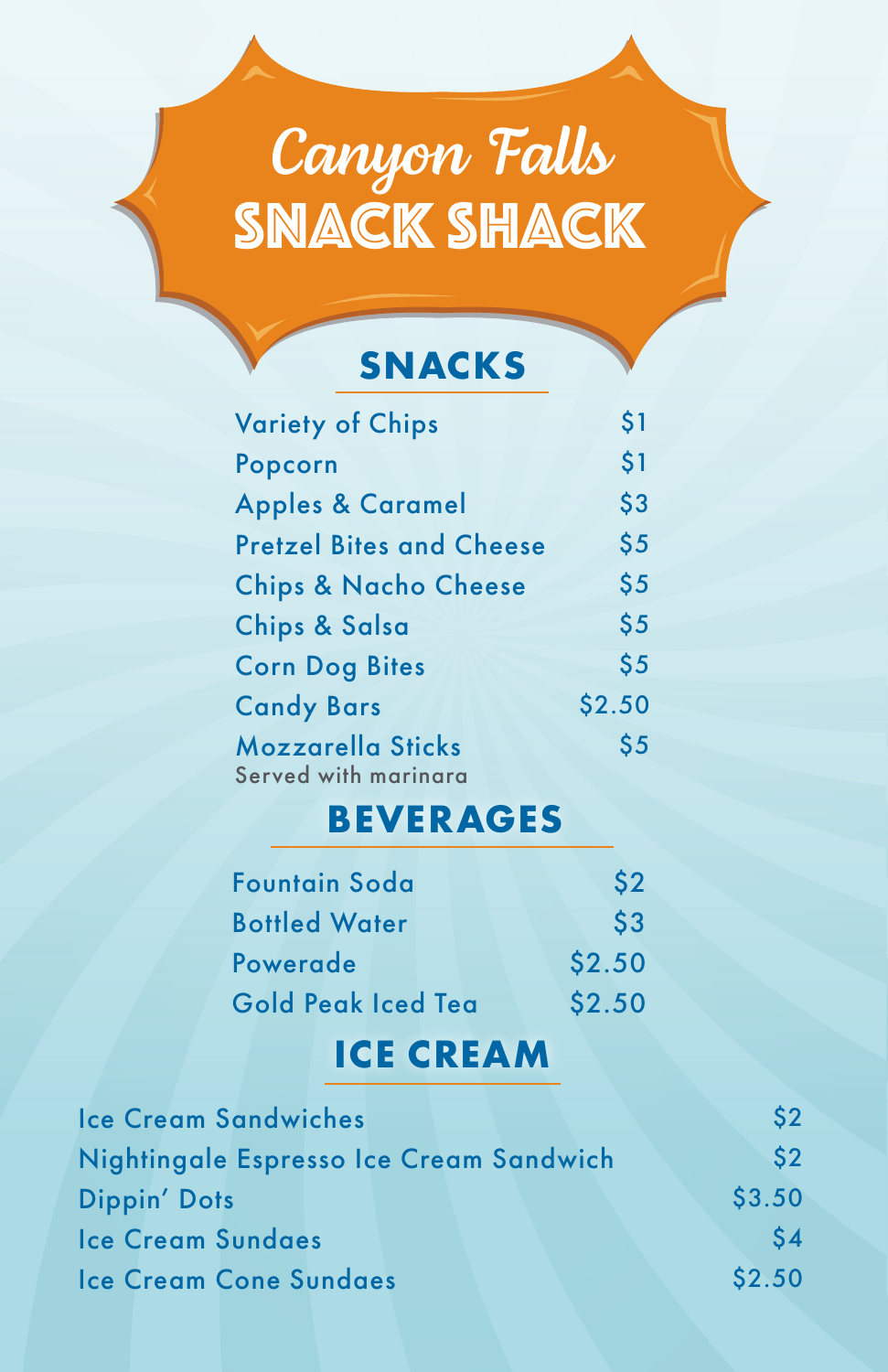# *Canyon Falls* SNACK SHACK

## **SNACKS**

| <b>Variety of Chips</b>         | \$1    |
|---------------------------------|--------|
| Popcorn                         | \$1    |
| <b>Apples &amp; Caramel</b>     | \$3    |
| <b>Pretzel Bites and Cheese</b> | \$5    |
| <b>Chips &amp; Nacho Cheese</b> | \$5    |
| <b>Chips &amp; Salsa</b>        | \$5    |
| <b>Corn Dog Bites</b>           | \$5    |
| <b>Candy Bars</b>               | \$2.50 |
| Mozzarella Sticks               | \$5    |
| Served with marinara            |        |

### **BEVERAGES**

| <b>Fountain Soda</b> | S <sub>2</sub> |
|----------------------|----------------|
| <b>Bottled Water</b> | $\mathsf{S}3$  |
| Powerade             | \$2.50         |
| Gold Peak Iced Tea   | \$2.50         |

## **ICE CREAM**

| <b>Ice Cream Sandwiches</b>             | $\mathsf{S}2$ |
|-----------------------------------------|---------------|
| Nightingale Espresso Ice Cream Sandwich | \$2           |
| Dippin' Dots                            | \$3.50        |
| <b>Ice Cream Sundaes</b>                | $\mathsf{S}4$ |
| <b>Ice Cream Cone Sundaes</b>           | \$2.50        |